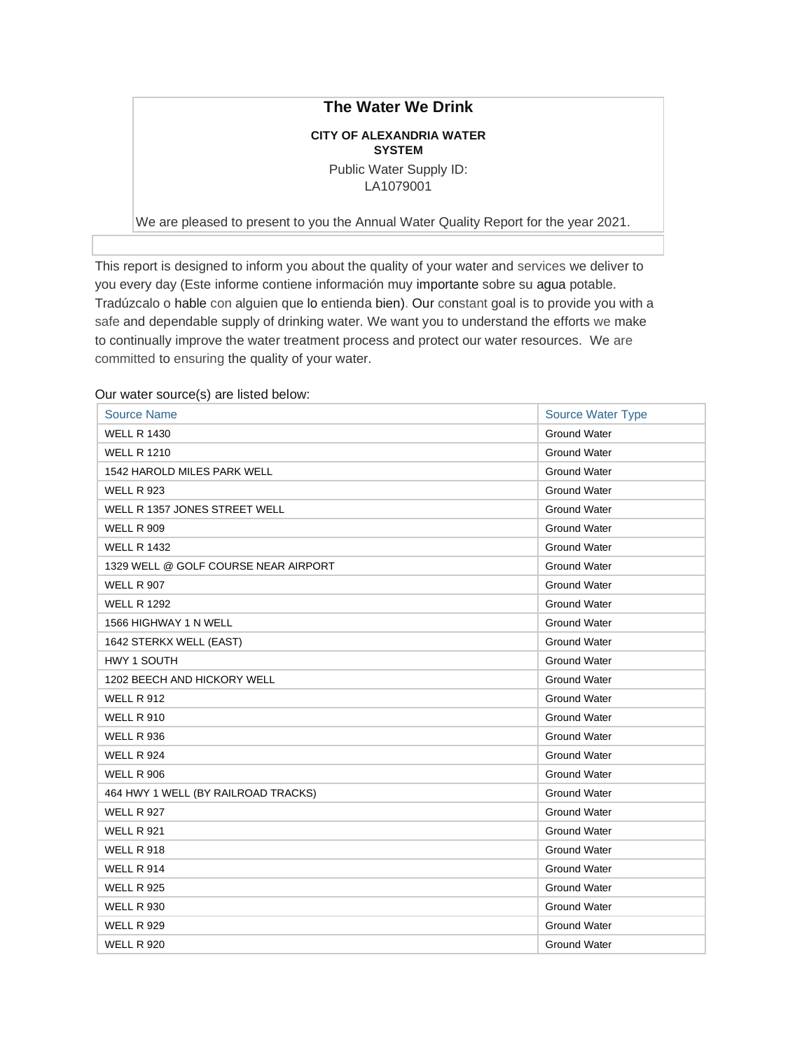## **The Water We Drink**

## **CITY OF ALEXANDRIA WATER SYSTEM**

Public Water Supply ID: LA1079001

We are pleased to present to you the Annual Water Quality Report for the year 2021.

This report is designed to inform you about the quality of your water and services we deliver to you every day (Este informe contiene información muy importante sobre su agua potable. Tradúzcalo o hable con alguien que lo entienda bien). Our constant goal is to provide you with a safe and dependable supply of drinking water. We want you to understand the efforts we make to continually improve the water treatment process and protect our water resources. We are committed to ensuring the quality of your water.

## Our water source(s) are listed below:

| <b>Source Name</b>                   | <b>Source Water Type</b> |
|--------------------------------------|--------------------------|
| <b>WELL R 1430</b>                   | <b>Ground Water</b>      |
| <b>WELL R 1210</b>                   | <b>Ground Water</b>      |
| 1542 HAROLD MILES PARK WELL          | <b>Ground Water</b>      |
| <b>WELL R 923</b>                    | <b>Ground Water</b>      |
| WELL R 1357 JONES STREET WELL        | <b>Ground Water</b>      |
| <b>WELL R 909</b>                    | <b>Ground Water</b>      |
| <b>WELL R 1432</b>                   | <b>Ground Water</b>      |
| 1329 WELL @ GOLF COURSE NEAR AIRPORT | <b>Ground Water</b>      |
| <b>WELL R 907</b>                    | <b>Ground Water</b>      |
| <b>WELL R 1292</b>                   | <b>Ground Water</b>      |
| 1566 HIGHWAY 1 N WELL                | <b>Ground Water</b>      |
| 1642 STERKX WELL (EAST)              | <b>Ground Water</b>      |
| HWY 1 SOUTH                          | <b>Ground Water</b>      |
| 1202 BEECH AND HICKORY WELL          | <b>Ground Water</b>      |
| <b>WELL R 912</b>                    | <b>Ground Water</b>      |
| <b>WELL R 910</b>                    | <b>Ground Water</b>      |
| <b>WELL R 936</b>                    | <b>Ground Water</b>      |
| <b>WELL R 924</b>                    | Ground Water             |
| <b>WELL R 906</b>                    | <b>Ground Water</b>      |
| 464 HWY 1 WELL (BY RAILROAD TRACKS)  | <b>Ground Water</b>      |
| <b>WELL R 927</b>                    | <b>Ground Water</b>      |
| <b>WELL R 921</b>                    | <b>Ground Water</b>      |
| <b>WELL R 918</b>                    | <b>Ground Water</b>      |
| <b>WELL R 914</b>                    | <b>Ground Water</b>      |
| <b>WELL R 925</b>                    | <b>Ground Water</b>      |
| <b>WELL R 930</b>                    | <b>Ground Water</b>      |
| <b>WELL R 929</b>                    | <b>Ground Water</b>      |
| <b>WELL R 920</b>                    | <b>Ground Water</b>      |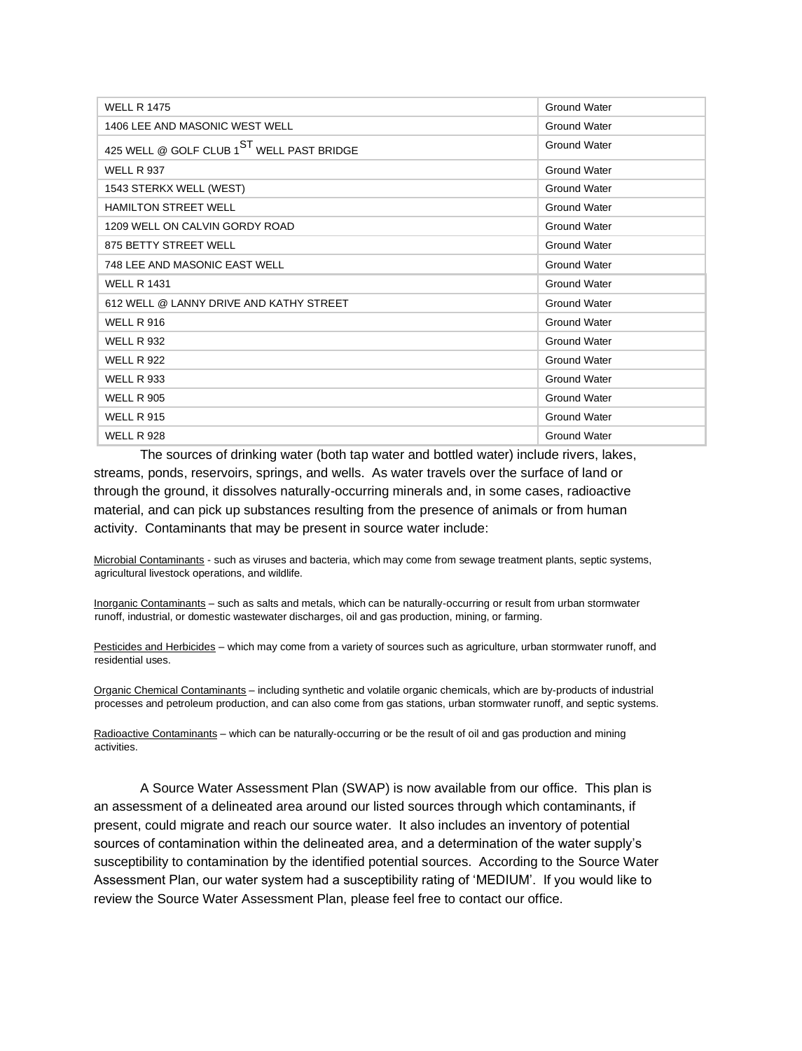| <b>WELL R 1475</b>                                    | <b>Ground Water</b> |
|-------------------------------------------------------|---------------------|
| 1406 LEE AND MASONIC WEST WELL                        | <b>Ground Water</b> |
| 425 WELL @ GOLF CLUB 1 <sup>ST</sup> WELL PAST BRIDGE | <b>Ground Water</b> |
| <b>WELL R 937</b>                                     | Ground Water        |
| 1543 STERKX WELL (WEST)                               | <b>Ground Water</b> |
| <b>HAMILTON STREET WELL</b>                           | <b>Ground Water</b> |
| 1209 WELL ON CALVIN GORDY ROAD                        | <b>Ground Water</b> |
| 875 BETTY STREET WELL                                 | Ground Water        |
| 748 LEE AND MASONIC EAST WELL                         | <b>Ground Water</b> |
| <b>WELL R 1431</b>                                    | <b>Ground Water</b> |
| 612 WELL @ LANNY DRIVE AND KATHY STREET               | <b>Ground Water</b> |
| <b>WELL R 916</b>                                     | <b>Ground Water</b> |
| <b>WELL R 932</b>                                     | <b>Ground Water</b> |
| <b>WELL R 922</b>                                     | <b>Ground Water</b> |
| <b>WELL R 933</b>                                     | <b>Ground Water</b> |
| <b>WELL R 905</b>                                     | Ground Water        |
| <b>WELL R 915</b>                                     | <b>Ground Water</b> |
| <b>WELL R 928</b>                                     | <b>Ground Water</b> |

The sources of drinking water (both tap water and bottled water) include rivers, lakes, streams, ponds, reservoirs, springs, and wells. As water travels over the surface of land or through the ground, it dissolves naturally-occurring minerals and, in some cases, radioactive material, and can pick up substances resulting from the presence of animals or from human activity. Contaminants that may be present in source water include:

Microbial Contaminants - such as viruses and bacteria, which may come from sewage treatment plants, septic systems, agricultural livestock operations, and wildlife.

Inorganic Contaminants – such as salts and metals, which can be naturally-occurring or result from urban stormwater runoff, industrial, or domestic wastewater discharges, oil and gas production, mining, or farming.

Pesticides and Herbicides – which may come from a variety of sources such as agriculture, urban stormwater runoff, and residential uses.

Organic Chemical Contaminants – including synthetic and volatile organic chemicals, which are by-products of industrial processes and petroleum production, and can also come from gas stations, urban stormwater runoff, and septic systems.

Radioactive Contaminants – which can be naturally-occurring or be the result of oil and gas production and mining activities.

A Source Water Assessment Plan (SWAP) is now available from our office. This plan is an assessment of a delineated area around our listed sources through which contaminants, if present, could migrate and reach our source water. It also includes an inventory of potential sources of contamination within the delineated area, and a determination of the water supply's susceptibility to contamination by the identified potential sources. According to the Source Water Assessment Plan, our water system had a susceptibility rating of 'MEDIUM'. If you would like to review the Source Water Assessment Plan, please feel free to contact our office.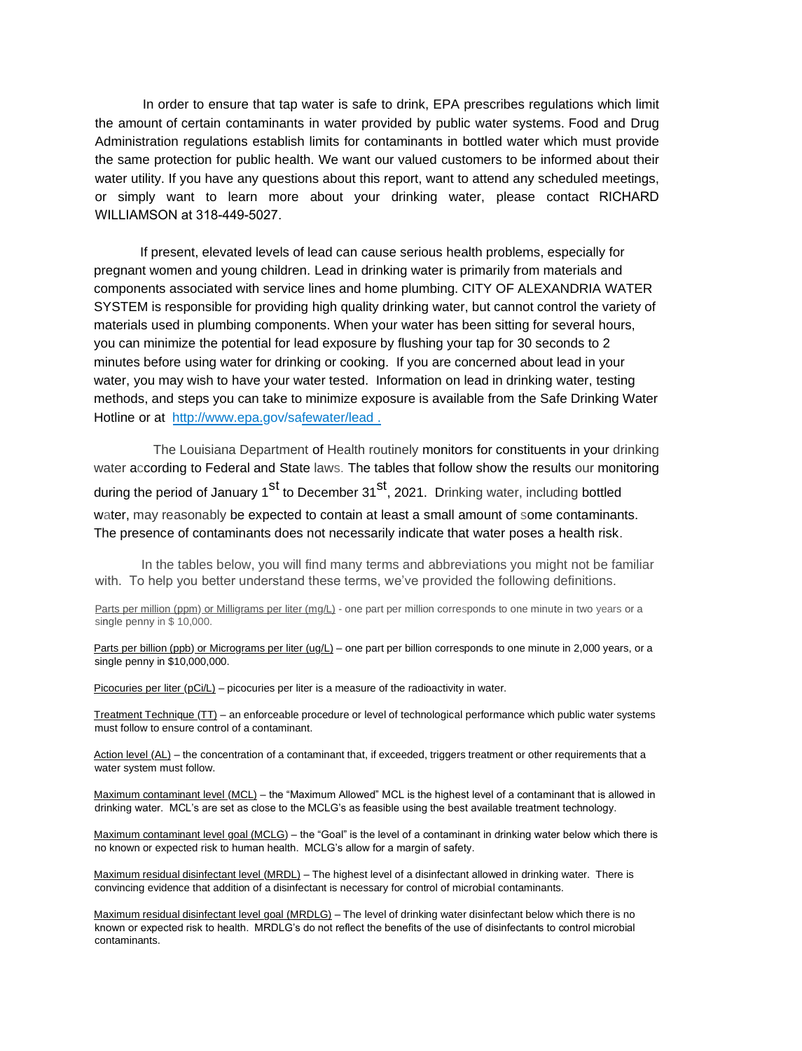In order to ensure that tap water is safe to drink, EPA prescribes regulations which limit the amount of certain contaminants in water provided by public water systems. Food and Drug Administration regulations establish limits for contaminants in bottled water which must provide the same protection for public health. We want our valued customers to be informed about their water utility. If you have any questions about this report, want to attend any scheduled meetings, or simply want to learn more about your drinking water, please contact RICHARD WILLIAMSON at 318-449-5027.

If present, elevated levels of lead can cause serious health problems, especially for pregnant women and young children. Lead in drinking water is primarily from materials and components associated with service lines and home plumbing. CITY OF ALEXANDRIA WATER SYSTEM is responsible for providing high quality drinking water, but cannot control the variety of materials used in plumbing components. When your water has been sitting for several hours, you can minimize the potential for lead exposure by flushing your tap for 30 seconds to 2 minutes before using water for drinking or cooking. If you are concerned about lead in your water, you may wish to have your water tested. Information on lead in drinking water, testing methods, and steps you can take to minimize exposure is available from the Safe Drinking Water [Hotline or at http://www.epa.gov/safe](http://www.epa.gov/safewater/lead)water/lead .

The Louisiana Department of Health routinely monitors for constituents in your drinking water according to Federal and State laws. The tables that follow show the results our monitoring during the period of January 1<sup>st</sup> to December  $31<sup>st</sup>$ , 2021. Drinking water, including bottled water, may reasonably be expected to contain at least a small amount of some contaminants. The presence of contaminants does not necessarily indicate that water poses a health risk.

In the tables below, you will find many terms and abbreviations you might not be familiar with. To help you better understand these terms, we've provided the following definitions.

Parts per million (ppm) or Milligrams per liter (mg/L) - one part per million corresponds to one minute in two years or a single penny in \$ 10,000.

Parts per billion (ppb) or Micrograms per liter (ug/L) – one part per billion corresponds to one minute in 2,000 years, or a single penny in \$10,000,000.

Picocuries per liter (pCi/L) – picocuries per liter is a measure of the radioactivity in water.

Treatment Technique (TT) – an enforceable procedure or level of technological performance which public water systems must follow to ensure control of a contaminant.

Action level (AL) – the concentration of a contaminant that, if exceeded, triggers treatment or other requirements that a water system must follow.

Maximum contaminant level (MCL) – the "Maximum Allowed" MCL is the highest level of a contaminant that is allowed in drinking water. MCL's are set as close to the MCLG's as feasible using the best available treatment technology.

Maximum contaminant level goal (MCLG) – the "Goal" is the level of a contaminant in drinking water below which there is no known or expected risk to human health. MCLG's allow for a margin of safety.

Maximum residual disinfectant level (MRDL) – The highest level of a disinfectant allowed in drinking water. There is convincing evidence that addition of a disinfectant is necessary for control of microbial contaminants.

Maximum residual disinfectant level goal (MRDLG) – The level of drinking water disinfectant below which there is no known or expected risk to health. MRDLG's do not reflect the benefits of the use of disinfectants to control microbial contaminants.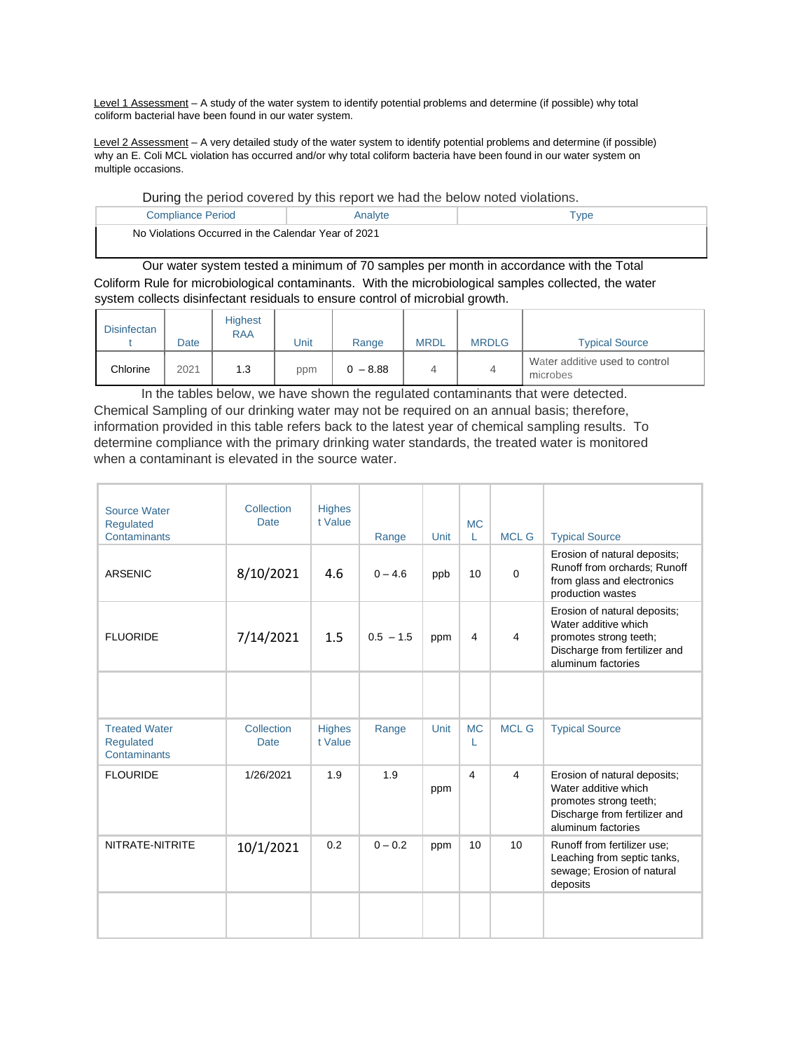Level 1 Assessment - A study of the water system to identify potential problems and determine (if possible) why total coliform bacterial have been found in our water system.

Level 2 Assessment – A very detailed study of the water system to identify potential problems and determine (if possible) why an E. Coli MCL violation has occurred and/or why total coliform bacteria have been found in our water system on multiple occasions.

|  | During the period covered by this report we had the below noted violations. |
|--|-----------------------------------------------------------------------------|
|--|-----------------------------------------------------------------------------|

| Compliance Period                                   | .nalyte |  |
|-----------------------------------------------------|---------|--|
| No Violations Occurred in the Calendar Year of 2021 |         |  |

Our water system tested a minimum of 70 samples per month in accordance with the Total Coliform Rule for microbiological contaminants. With the microbiological samples collected, the water system collects disinfectant residuals to ensure control of microbial growth.

| <b>Disinfectan</b> | Date | <b>Highest</b><br><b>RAA</b> | Jnit | Range      | <b>MRDL</b> | <b>MRDLG</b> | <b>Typical Source</b>                      |
|--------------------|------|------------------------------|------|------------|-------------|--------------|--------------------------------------------|
| Chlorine           | 2021 | 1.3                          | ppm  | $0 - 8.88$ |             | 4            | Water additive used to control<br>microbes |

In the tables below, we have shown the regulated contaminants that were detected. Chemical Sampling of our drinking water may not be required on an annual basis; therefore, information provided in this table refers back to the latest year of chemical sampling results. To determine compliance with the primary drinking water standards, the treated water is monitored when a contaminant is elevated in the source water.

| Source Water<br>Regulated<br>Contaminants                | Collection<br><b>Date</b> | <b>Highes</b><br>t Value | Range       | Unit | <b>MC</b><br>L | <b>MCL G</b>   | <b>Typical Source</b>                                                                                                                 |
|----------------------------------------------------------|---------------------------|--------------------------|-------------|------|----------------|----------------|---------------------------------------------------------------------------------------------------------------------------------------|
| <b>ARSENIC</b>                                           | 8/10/2021                 | 4.6                      | $0 - 4.6$   | ppb  | 10             | $\Omega$       | Erosion of natural deposits;<br>Runoff from orchards; Runoff<br>from glass and electronics<br>production wastes                       |
| <b>FLUORIDE</b>                                          | 7/14/2021                 | 1.5                      | $0.5 - 1.5$ | ppm  | 4              | 4              | Erosion of natural deposits;<br>Water additive which<br>promotes strong teeth;<br>Discharge from fertilizer and<br>aluminum factories |
|                                                          |                           |                          |             |      |                |                |                                                                                                                                       |
| <b>Treated Water</b><br><b>Requlated</b><br>Contaminants | Collection<br><b>Date</b> | <b>Highes</b><br>t Value | Range       | Unit | <b>MC</b><br>L | <b>MCL G</b>   | <b>Typical Source</b>                                                                                                                 |
| <b>FLOURIDE</b>                                          | 1/26/2021                 | 1.9                      | 1.9         | ppm  | $\overline{4}$ | $\overline{4}$ | Erosion of natural deposits;<br>Water additive which<br>promotes strong teeth;<br>Discharge from fertilizer and<br>aluminum factories |
| NITRATE-NITRITE                                          | 10/1/2021                 | 0.2                      | $0 - 0.2$   | ppm  | 10             | 10             | Runoff from fertilizer use;<br>Leaching from septic tanks,<br>sewage; Erosion of natural<br>deposits                                  |
|                                                          |                           |                          |             |      |                |                |                                                                                                                                       |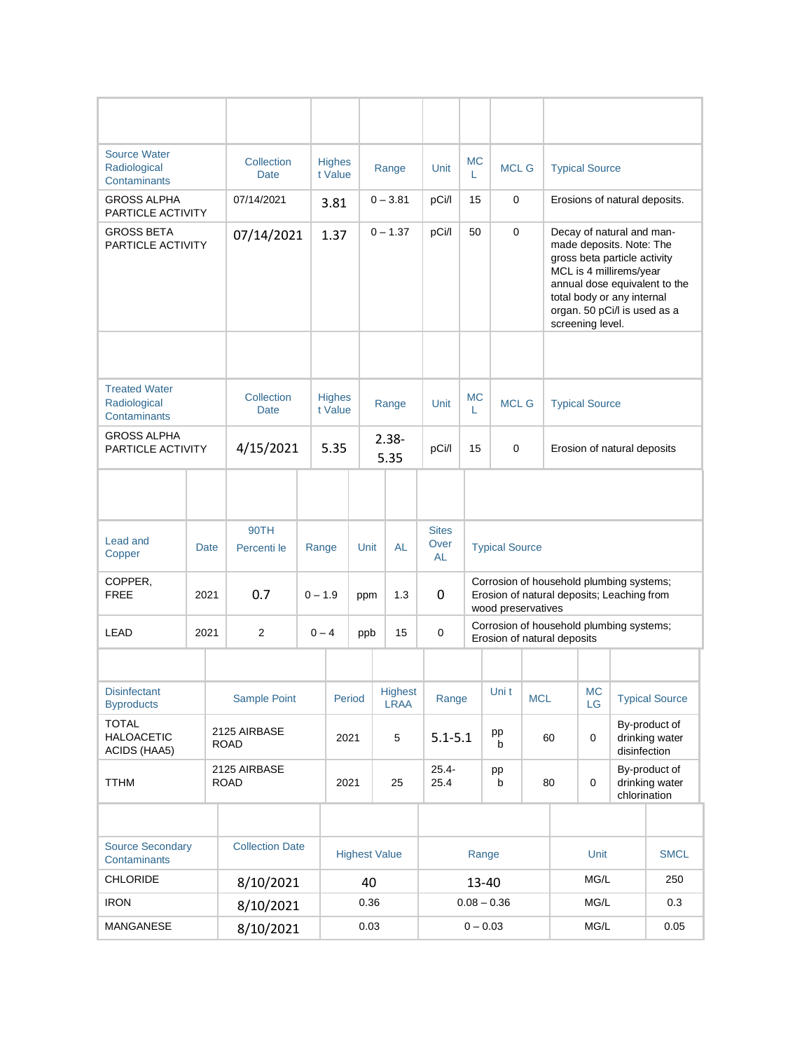| <b>Source Water</b><br>Radiological<br><b>Contaminants</b>     | Collection<br><b>Date</b>       |                             |                           | <b>Highes</b><br>t Value |                                                                                   | Range                |                               | МC<br>L          | <b>MCL G</b>  |                                                                                                              | <b>Typical Source</b>                                                                                                                                                                                                               |                             |                 |                                                 |             |
|----------------------------------------------------------------|---------------------------------|-----------------------------|---------------------------|--------------------------|-----------------------------------------------------------------------------------|----------------------|-------------------------------|------------------|---------------|--------------------------------------------------------------------------------------------------------------|-------------------------------------------------------------------------------------------------------------------------------------------------------------------------------------------------------------------------------------|-----------------------------|-----------------|-------------------------------------------------|-------------|
| <b>GROSS ALPHA</b>                                             | 07/14/2021<br>PARTICLE ACTIVITY |                             |                           | 3.81                     |                                                                                   | $0 - 3.81$           | pCi/l                         | 15               | 0             |                                                                                                              | Erosions of natural deposits.                                                                                                                                                                                                       |                             |                 |                                                 |             |
| GROSS BETA<br>PARTICLE ACTIVITY                                |                                 |                             | 07/14/2021                |                          | $0 - 1.37$<br>1.37                                                                |                      | pCi/l                         | 50               | 0             |                                                                                                              | Decay of natural and man-<br>made deposits. Note: The<br>gross beta particle activity<br>MCL is 4 millirems/year<br>annual dose equivalent to the<br>total body or any internal<br>organ. 50 pCi/l is used as a<br>screening level. |                             |                 |                                                 |             |
| <b>Treated Water</b><br>Radiological                           |                                 |                             | Collection<br><b>Date</b> |                          | <b>Highes</b><br>t Value                                                          |                      | Range                         |                  | МC<br>L       | <b>MCL G</b>                                                                                                 |                                                                                                                                                                                                                                     | <b>Typical Source</b>       |                 |                                                 |             |
| <b>Contaminants</b><br><b>GROSS ALPHA</b><br>PARTICLE ACTIVITY |                                 |                             | 4/15/2021                 |                          | 5.35                                                                              |                      | $2.38 -$<br>5.35              | pCi/l            | 15            | 0                                                                                                            |                                                                                                                                                                                                                                     | Erosion of natural deposits |                 |                                                 |             |
|                                                                |                                 |                             |                           |                          |                                                                                   |                      |                               |                  |               |                                                                                                              |                                                                                                                                                                                                                                     |                             |                 |                                                 |             |
| Lead and<br>Copper                                             | Date                            |                             | 90TH<br>Percenti le       |                          | <b>Sites</b><br>Over<br><b>AL</b><br>Unit<br><b>Typical Source</b><br>Range<br>AL |                      |                               |                  |               |                                                                                                              |                                                                                                                                                                                                                                     |                             |                 |                                                 |             |
| COPPER,<br><b>FREE</b>                                         | 2021                            |                             | 0.7                       |                          | $0 - 1.9$                                                                         | ppm                  | 1.3                           | 0                |               | Corrosion of household plumbing systems;<br>Erosion of natural deposits; Leaching from<br>wood preservatives |                                                                                                                                                                                                                                     |                             |                 |                                                 |             |
| <b>LEAD</b>                                                    | 2021                            |                             | $\overline{2}$            |                          | $0 - 4$                                                                           | ppb                  | 15                            | $\mathbf 0$      |               | Corrosion of household plumbing systems;<br>Erosion of natural deposits                                      |                                                                                                                                                                                                                                     |                             |                 |                                                 |             |
|                                                                |                                 |                             |                           |                          |                                                                                   |                      |                               |                  |               |                                                                                                              |                                                                                                                                                                                                                                     |                             |                 |                                                 |             |
| <b>Disinfectant</b><br><b>Byproducts</b>                       |                                 |                             | Sample Point              |                          | Period                                                                            |                      | <b>Highest</b><br><b>LRAA</b> | Range            |               | Uni t                                                                                                        | <b>MCL</b>                                                                                                                                                                                                                          |                             | <b>MC</b><br>LG | <b>Typical Source</b>                           |             |
| <b>TOTAL</b><br><b>HALOACETIC</b><br>ACIDS (HAA5)              |                                 | 2125 AIRBASE<br><b>ROAD</b> |                           |                          | 2021                                                                              |                      | 5                             | $5.1 - 5.1$      |               | pp<br>b                                                                                                      | 60                                                                                                                                                                                                                                  |                             | 0               | By-product of<br>drinking water<br>disinfection |             |
| <b>TTHM</b>                                                    | 2125 AIRBASE<br><b>ROAD</b>     |                             |                           |                          | 2021                                                                              |                      | 25                            | $25.4 -$<br>25.4 |               | pp<br>b                                                                                                      |                                                                                                                                                                                                                                     | 80                          | 0               | By-product of<br>drinking water<br>chlorination |             |
|                                                                |                                 |                             |                           |                          |                                                                                   |                      |                               |                  |               |                                                                                                              |                                                                                                                                                                                                                                     |                             |                 |                                                 |             |
| <b>Source Secondary</b><br>Contaminants                        |                                 |                             | <b>Collection Date</b>    |                          |                                                                                   | <b>Highest Value</b> |                               | Range            |               |                                                                                                              |                                                                                                                                                                                                                                     |                             | Unit            |                                                 | <b>SMCL</b> |
| <b>CHLORIDE</b>                                                |                                 |                             | 8/10/2021                 |                          |                                                                                   | 40                   |                               |                  |               | 13-40                                                                                                        |                                                                                                                                                                                                                                     | MG/L                        |                 |                                                 | 250         |
| <b>IRON</b>                                                    |                                 |                             | 8/10/2021                 |                          |                                                                                   | 0.36                 |                               |                  | $0.08 - 0.36$ |                                                                                                              |                                                                                                                                                                                                                                     | MG/L                        |                 |                                                 | 0.3         |
| MANGANESE                                                      |                                 |                             | 8/10/2021                 |                          | 0.03                                                                              |                      | $0 - 0.03$                    |                  |               | MG/L                                                                                                         |                                                                                                                                                                                                                                     |                             | 0.05            |                                                 |             |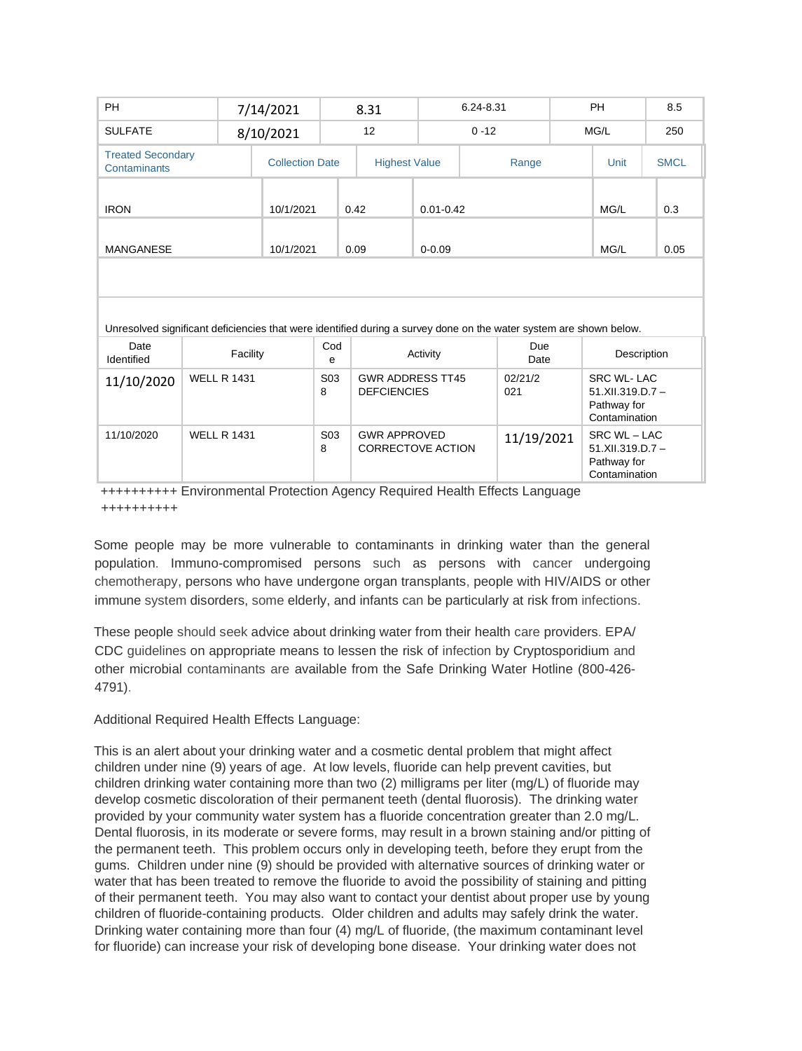| <b>PH</b>                      |                          |  | 7/14/2021 |                        | 8.31                                          |               | 6.24-8.31                                                                                                          |      | <b>PH</b>                                                               | 8.5         |  |
|--------------------------------|--------------------------|--|-----------|------------------------|-----------------------------------------------|---------------|--------------------------------------------------------------------------------------------------------------------|------|-------------------------------------------------------------------------|-------------|--|
| <b>SULFATE</b>                 |                          |  | 8/10/2021 |                        | 12                                            |               | $0 - 12$                                                                                                           | MG/L |                                                                         | 250         |  |
| Contaminants                   | <b>Treated Secondary</b> |  |           | <b>Collection Date</b> | <b>Highest Value</b>                          |               | Range                                                                                                              |      | Unit                                                                    | <b>SMCL</b> |  |
| <b>IRON</b>                    |                          |  | 10/1/2021 |                        | 0.42                                          | $0.01 - 0.42$ |                                                                                                                    |      | MG/L                                                                    | 0.3         |  |
| <b>MANGANESE</b>               |                          |  | 10/1/2021 |                        | 0.09                                          | $0 - 0.09$    |                                                                                                                    |      | MG/L                                                                    | 0.05        |  |
|                                |                          |  |           |                        |                                               |               |                                                                                                                    |      |                                                                         |             |  |
|                                |                          |  |           |                        |                                               |               | Unresolved significant deficiencies that were identified during a survey done on the water system are shown below. |      |                                                                         |             |  |
| Date<br>Facility<br>Identified |                          |  |           | Cod<br>e               |                                               | Activity      | Due<br>Date                                                                                                        |      | Description                                                             |             |  |
| 11/10/2020                     | <b>WELL R 1431</b>       |  |           | S <sub>0</sub> 3<br>8  | <b>GWR ADDRESS TT45</b><br><b>DEFCIENCIES</b> |               | 02/21/2<br>021                                                                                                     |      | <b>SRC WL-LAC</b><br>$51.XII.319.D.7 -$<br>Pathway for<br>Contamination |             |  |
| 11/10/2020                     | <b>WELL R 1431</b>       |  |           | S <sub>0</sub> 3<br>8  | <b>GWR APPROVED</b><br>CORRECTOVE ACTION      |               | 11/19/2021                                                                                                         |      | SRC WL - LAC<br>51.XII.319.D.7-<br>Pathway for<br>Contamination         |             |  |

++++++++++ Environmental Protection Agency Required Health Effects Language ++++++++++

Some people may be more vulnerable to contaminants in drinking water than the general population. Immuno-compromised persons such as persons with cancer undergoing chemotherapy, persons who have undergone organ transplants, people with HIV/AIDS or other immune system disorders, some elderly, and infants can be particularly at risk from infections.

These people should seek advice about drinking water from their health care providers. EPA/ CDC guidelines on appropriate means to lessen the risk of infection by Cryptosporidium and other microbial contaminants are available from the Safe Drinking Water Hotline (800-426- 4791).

Additional Required Health Effects Language:

This is an alert about your drinking water and a cosmetic dental problem that might affect children under nine (9) years of age. At low levels, fluoride can help prevent cavities, but children drinking water containing more than two (2) milligrams per liter (mg/L) of fluoride may develop cosmetic discoloration of their permanent teeth (dental fluorosis). The drinking water provided by your community water system has a fluoride concentration greater than 2.0 mg/L. Dental fluorosis, in its moderate or severe forms, may result in a brown staining and/or pitting of the permanent teeth. This problem occurs only in developing teeth, before they erupt from the gums. Children under nine (9) should be provided with alternative sources of drinking water or water that has been treated to remove the fluoride to avoid the possibility of staining and pitting of their permanent teeth. You may also want to contact your dentist about proper use by young children of fluoride-containing products. Older children and adults may safely drink the water. Drinking water containing more than four (4) mg/L of fluoride, (the maximum contaminant level for fluoride) can increase your risk of developing bone disease. Your drinking water does not